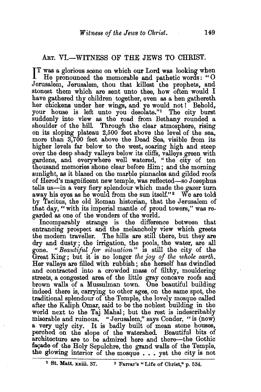## ART. VI.-WITNESS OF THE JEWS TO CHRIST.

IT was a glorious scene on which our Lord was looking when He pronounced the memorable and pathetic words: "O He pronounced the memorable and pathetic words : " 0 Jerusalem, Jerusalem, thou that killest the prophets, and stonest them which are sent unto thee, how often would I have gathered thy children together, even as a hen gathereth her chickens under her wings, and ye would not! Behold, your house is left unto you desolate."1 The city burst suddenly into view as the road from Bethany rounded a shoulder of the hill. Through the clear atmosphere, rising on its sloping plateau 2,500 feet above the level of the sea, more than 3,700 feet above the Dead Sea, visible from its higher levels far below to the west, soaring high and steep over the deep shady valleys below its cliffs, valleys green with gardens, and everywhere well watered, " the city of ten thousand memories shone clear before Him; and the morning sunlight, as it blazed on the marble pinnacles and gilded roofs of Herod's magnificent new temple, was reflected-so Josephus tells us-in a very fiery splendour which made the gazer turn away his eyes as he would from the sun itself."<sup>2</sup> We are told by Tacitus, the old Roman historian, that the Jerusalem of that day, "with its imperial mantle of proud towers," was regarded as one of the wonders of the world.

Incomparably strange is the difference between that entrancing prospect and the melancholy view which greets the modern traveller. The hills are still there, but they are dry and dusty ; the irrigation, the pools, the water, are all gone. " *Beautiful for sit·uation* " is still the city of the Great King ; but it is no longer *the joy of the whole earth.*  Her valleys are filled with rubbish; she herself has dwindled and contracted into a crowded mass of filthy, mouldering streets, a congested area of the little gray concave roofs and brown walls of a Mussulman town. One beautiful building indeed there is, carrying to other ages, on the same spot, the traditional splendour of the Temple, the lovely mosque called after the Kaliph Omar, said to be the noblest building in the world next to the Taj Mahal; but the rest is indescribably miserable and ruinous. "Jerusalem," says Conder, "is (now) a very ugly city. It is badly built of mean stone houses, perched on the slope of the watershed. Beautiful bits of architecture are to be admired here and there-the Gothic façade of the Holy Sepulchre, the grand walls of the Temple, the glowing interior of the mosque . . • yet the city is not

<sup>&</sup>lt;sup>1</sup> St. Matt. xxiii. 37. <sup>2</sup> Farrar's "Life of Christ," p. 534.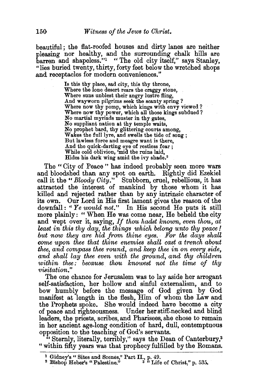beautiful ; the flat-roofed houses and dirty lanes are neither pleasing nor healthy, and the surrounding chalk hills are barren and shapeless."<sup>1</sup> "The old city itself," says Stanley, "lies buried twenty, thirty, forty feet below the wretched shops .and receptacles for modern conveniences."

> Is this thy place, sad city, this thy throne, Where the lone desert rears the craggy stone, Where suns unblest their angry lustre fling, .And wayworn pilgrims seek the scanty spring ? Where now thy pomp, which kings with envy viewed? Where now thy power, which all those kings subdued? No martial myriads muster in thy gates, No suppliant nation at thy temple waits, No prophet bard, thy glittering courts among, Wakes the full lyre, and swells the tide of song ; But lawless force and meagre want is there, .And the quick-darting eye of restless fear ; While cold oblivion, 'mid the ruins laid, Hides his dark wing amid the ivy shade.<sup>2</sup>

The "City of Peace" has indeed probably seen more wars and bloodshed than any spot on earth. Rightly did Ezekiel call it the "Bloody City." Stubborn, cruel, rebellious, it has attracted the interest of mankind by those whom it has killed and rejected rather than by any intrinsic character of its own. Our Lord in His first lament gives the reason of the downfall: "Ye would not." In His second He puts it still more plainly: " When He was come near, He beheld thecity and wept over it, saying, *If thou hadst known, even thou, at least in this thy day, the things which belong unto thy peace* ! *but now they are hid from thine eyes. For the days shall come upon thee that thine enemies shall cast a trench about thee, and compass thee round, and keep thee in on every,side, and shall lay thee even with the ground, and thy children within thee: because thou knowest not the time of thy visitation."* 

The one chance for Jerusalem was to lay aside her arrogant self-satisfaction, her hollow and sinful externalism, and to bow humbly before the message of God given by God manifest at length in the flesh, Him of whom the Law and the Prophets spoke. She would indeed have become a city of peace and righteousness. Under her stiff-necked and blind leaders, the priests, scribes, and Pharisees, she chose to remain in her ancient age-long condition of hard, dull, contemptuous opposition to the teaching of God's servants.

" Sternly, literally, terribly," says the Dean of Canterbury,<sup>3</sup> " within fifty years was that prophecy fulfilled by the Romans.

<sup>&</sup>lt;sup>1</sup> Gidney's "Sites and Scenes," Part II., p. 49.<br><sup>2</sup> Bishop Heber's "Palestine."  $3$  "Life of Christ," p. 535.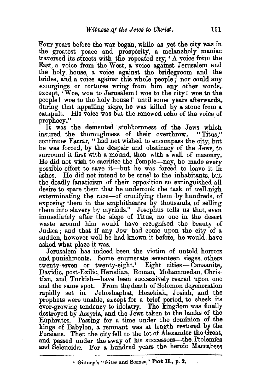Four years before the war began, while as yet the city was in. the greatest peace and prosperity, a melancholy· maniac traversed its streets with the repeated cry, 'A voice from the East, a voice from the West, a voice against Jerusalem: and the holy house, a voice against the bridegroom and the brides, and a voice against this whole people;' nor could any scourgings or tortures wring from him any other words, except, 'Woe, woe to Jerusalem! woe to the city! woe to the people ! woe to the holy house !' until some years afterwards, during that appalling siege, he was killed by a stone from a catapult. His voice was but the renewed echo of the voice of prophecy."

It was the demented stubbornness of the Jews which<br>sured the thoroughness of their overthrow. "Titus." insured the thoroughness of their overthrow. continues Farrar, " had not wished to encompass the city, but he was forced, by the despair and obstinacy of the Jews, to surround it first with a mound, then with a wall of masonry. He did not wish to sacrifice the Temple-nay, he made every possible eflort to save it-but he was forced to leave it in ashes. He did not intend to be cruel to the inhabitants, but the deadly fanaticism of their opposition so extinguished all desire to spare them that he undertook the task of well-nigh exterminating the race-of crucifying them by hundreds, of exposing them in the amphitheatre by thousands, of selling. them into slavery by myriads." Josephus tells us that, even immediately after the siege of Titus, no one in the desert waste around him would have recognised the beauty of Judæa; and that if any Jew had come upon the city of a sudden, however well he had known it before, he would. have asked what place it was.

Jerusalem has indeed been the victim of untold horrors and punishments. Some enumerate seventeen sieges, others  $t$ wenty-seven or  $t$ wenty-eight.<sup>1</sup> Eight cities $-\text{Canaanite}$ , Davidic, post-Exilic, Herodian, Roman, Mohammedan, Christian, and Turkish-have been successively reared upon one and the same spot. From the death of Solomon degeneration rapidly set in. Jehoshaphat, Hezekiah, Josiah, and the prophets were unable, except for a brief period, to check its ever-growing tendency to idolatry. The kingdom was finally destroyed by Assyria, and the Jews taken to the banks of the Euphrates. Passing for a time under the dominion of the kings of Babylon, a remnant was at length restored by the Persians. Then the city fell to the lot of Alexander the Great, and passed under the sway of his successors-the Ptolemies and Seleucidæ. For a hundred years the heroic Maccabees

<sup>1</sup> Gidney's "Sites and Scenes," Part II., p. 2.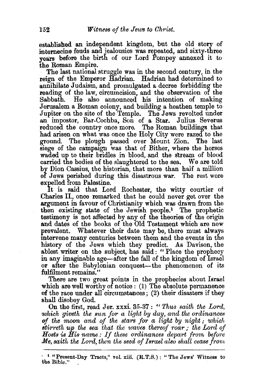established an independent kingdom, but the old story of internecine feuds and jealousies was repeated, and sixty-three vears before the birth of our Lord Pompey annexed it to the Roman Empire.

The last national struggle was in the second century, in the reign of the Emperor Hadrian. Hadrian had determined to annihilate Judaism, and promulgated a decree forbidding the reading of the law, circumcision, and the observation of the Sabbath. He also announced his intention of making Jerusalem a Roman colony, and building a heathen temple to Jupiter on the site of the Temple. The Jews revolted under an impostor, Bar-Cochba, Son of a Star. Julius Severns reduced the country once more. The Roman buildings that had arisen on what was once the Holy City were razed to the ground. The plough passed over Mount Zion. The last siege of the campaign was that of Bither, where the horses waded up to their bridles in blood, and the stream of blood carried the bodies of the slaughtered to the sea. We are told by Dion Cassius, the historian, that more than half a million of Jews perished during this disastrous war. The rest were expelled from Palestine.

It is said that Lord Rochester, the witty courtier of Charles II., once remarked that he could never get over the argument in favour of Christianity which was drawn from the then existing state of the Jewish people.1 The prophetic testimony is not affected by any of the theories of the origin and dates of the books of the Old Testament which are now prevalent. Whatever their date may be, there must always mtervene many centuries between them and the events in the history of the Jews which they predict. As Davison, the ablest writer on the subject, has said : " Place the prophecy in any imaginable age-after the fall of the kingdom of Israel or after the Babylonian conquest-the phenomenon of its fulfilment remains."

There are two great points in the prophecies about Israel which are well worthy of notice: (1) The absolute permanence of the race under all circumstances; (2) their disasters if they shall disobey God.

On the first, read Jer. xxxi. 35-37: *"Thus saith the Lord,*  which giveth the sun for a light by day, and the ordinances *of the moon and of the stars for a light* by *night* ; *which btirreth up the sea that the waves thereof roar; the Lord of* Hosts is His name: If these ordinances depart from before *Me, saith the Lord, then the seed of Israel also shall cease from* 

<sup>•</sup> 1 "Present-Day Tracts," vol. xiii. (R.T.S.): "The Jews' Witness to the Bible."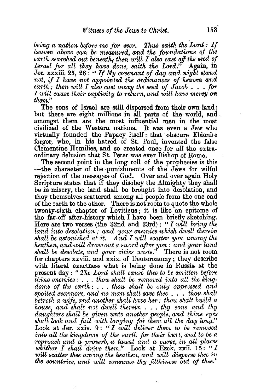*being a nation before me for ever. Thus saith the Lord : If heaven above can be meaaured,* and *tke foundations of tke*  earth searched out beneath, then will I also cast off the seed of *Israel jOT all they have done, saith tke Lord."* Again, in Jer. xxxiii. 25, 26: *"If My covenant of day and night stand not, if I have not appointed the ordinances of heaven amd*   $\epsilon$ *earth; then will I also cast anray the seed of*  $\tilde{J}$ *acob*  $\ldots$  *for I will cause their captivity to return, and will have mercy on them."* 

The sons of Israel are still dispersed from their own land; but there are eight millions in all parts of the world, and amongst them are the most influential men in the most civilized of the Western nations. It was even a Jew who virtually founded the Papacy itself : that obscure Ebionite forger, who, in his hatred of St. Paul, invented the false Clementine Homilies, and so created once for all the extraordinary delusion that St. Peter was ever Bishop of Rome.

The second point in the long roll of the prophecies is this -the character of the punishments of the Jews for wilful rejection of the messages of God. Over and over again Holy Scripture states that if they disobey the Almighty they shall be in misery, the land shall be brought into desolation, and they themselves scattered among- all people from the one end of the earth to the other. There Is not room to quote the whole twenty-sixth chapter of Leviticus ; it is like an epitome of the far-off after-history which I have been briefly sketching. Here are two verses (the 32nd and  $33rd$ ): "*I will bring the land into desolation* ; *and your enemies which dwell therein shall be astonished at it. And I will scatter you among the heathen, and will draw out a sword after you : and your land shall be desolate, and your cities waste."* There is not room for chapters xxviii. and xxix. of Deuteronomy; they describe with literal exactness what is being done in Russia at the present day : " *The Lord shall cause thee to be smitten before thine enemies :... thou shalt be removed into all the kingdo'rns of the earth:* •.. *thou shalt be only oppres8ed and spoiled evermOTe, and no man shall save thee* . • . *thou shalt betroth a wife, and another shall have her : thou shalt build a house, and shalt not dwell therein* ..• *thy sons and thy daughters shall be given unto another people, and thine eyes shall look and fail with longing jOT them all the day long."*  Look at Jer. xxiv. 9: *"I will delwer them to be removed into all the kingdoms of the earth for their hurt, and to be a reproach and a proverb, a taunt and a curse, in all places whither I shall drive them.*" Look at Ezek.  $\overline{x}$ xii. 15: "I will scatter thee among the heathen, and will disperse thee in *the countries, and will consume thy filthiness out of thee.*"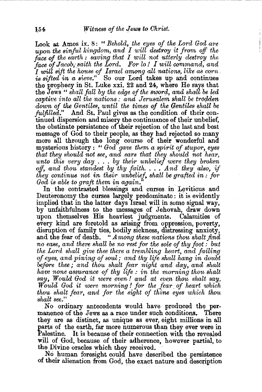Look at Amos ix. 8: " *Behold, the eyes of the Lord God are upon the sinful kingdom, and I will destroy it from off the* face of the earth : saving that I will not utterly destroy the face of Jacob, saith the Lord. For lo! I will command, and I will sift the house of Israel among all nations, like as corn *is sifted in a sieve."* So our Lord takes up and continues the prophecy in St. Luke  $xxi$ . 22 and 24, where He says that the Jews '' *shall fall by the edge of the sword, and shall be led captive into all the nations : and Jerusalem shall be trodden down of* the *Ge'ntiles, until the times of the Gentiles shall be fulfilled."* And St. Paul gives as the condition of their continued dispersion and misery the continuance of their unbelief, the obstinate persistence of their rejection of the last and best message of God to their people, as they had rejected so many more all through the long course of their wonderful and mysterious history : " *God gave them a spirit of stupor, eyes that they should 'nOt see, and ears that they should 'nOt hear, unto this very day* . . . *by their unbelief were they broken off, and thou, standest by thy faith .* .•• *.A'nd they also, if they continue not in their unbelief, shall be grafted in : for* God is able to graft them in again."

In the contrasted blessings and curses in Leviticus and Deuteronomy the curses largely predominate: it is evidently implied that in the latter days Israel will in some signal way, by unfaithfulness to the messages of Jehovah, draw down upon themselves His heaviest judgments. Calamities of every kind are foretold as arising from oppression, poverty, disruption of family ties, bodily sickness, distressing anxiety, and the fear of death. " *Among these nations thou shalt find* no ease, and there shall be no rest for the sole of thy foot : but *the Lord shall give thee there a trembling heart, and failing of eyes, and pining of soul; and thy life shall hang in doubt before thee; and thou shalt fear night a'nd day, and shalt have none assurance of thy life : in the morning thou shalt*  say, Would God it were even! and at even thou shalt say, *Would God it were morning* ! *for the .fear of heart which thou shalt fear, and for the sight of thine eyes which thou Bhalt see."* 

No ordinary antecedents would have produced the per~ manence of the Jews as a race under such conditions. There they are as distinct, as unique as ever, eight millions in all parts of the earth, far more numerous than they ever were in Palestine. It is because of their connection with the revealed will of God, because of their adherence, however partial, to the Divine oracles which they received.

No human foresight could have described the persistence of their alienation from God, the exact nature and description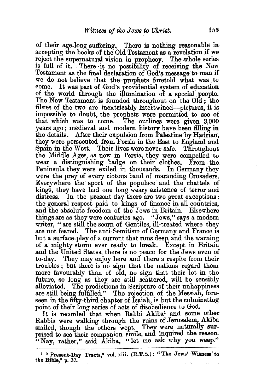of their age-long suffering. There is nothing reasonable in accepting the books of the Old Testament as a revelation if we reject the supernatural vision in prophecy. The whole series is full of it. There is no possibility of receiving the New Testament as the final declaration of God's message to man if we do not believe that the prophets foretold what was to come. It was part of God's providential system of education of the world through the illumination of a special people. The New Testament is founded throughout on the 01a ; the fibres of the two are inextricably intertwined—pictures, it is impossible to· doubt, the prophets were permitted to see of that which was to come. The outlines were given 3,000 years ago ; medieval and modem history have been filling in the details. After their expulsion from Palestine by Hadrian, they were persecuted from Persia in the East to England and Spain in the West. Their lives were never safe. Throughout the Middle Ages, as now in Persia, they were compelled to wear a distinguishing badge on their clothes. From the Peninsula they were exiled in thousands. In Germany they were the prey of every riotous band of marauding. Crusaders. Everywhere the sport of the populace and the chattels of kings, they have had one long weary existence of terror and distress. In the present day there are two great exceptions : the general respect paid to kings of finance in all countries, and the absolute freedom of the Jews in Britain. Elsewhere things are as they were centuries ago. "Jews,'' says a modem writer, "are still the scorn of Gentiles, ill-treated where they are not feared. The anti-Semitism of Germany and France is but a surface-play of a current that runs deep, and the warning of a mighty storm ever ready to break. Except in Britain and the United States, there is no peace for the Jews even of to-day. They may enjoy here and there a respite from their troubles ; but there is no sign that the nations regard them more favourably than of old, no sign that their lot in the future, so long as they are still scattered, will be sensibly alleviated. The predictions in Scripture of their unhappiness are still being fulfilled." The rejection of the Messiah, foreseen in the fifty-third chapter of Isaiah, is but the culminating point of their long series of acts of disobedience to God.

It is recorded that when Rabbi Akiba<sup>1</sup> and some other Rabbis were walking through the ruins of Jerusalem, Akiba smiled, though the others wept. They were naturally surprised to see their companion smile, and inquired the reason. "Nay, rather," said Akiba, "let me ask why you weep."

<sup>&</sup>lt;sup>1</sup> "Present-Day Tracts," vol. xiii. (R.T.S.): "The Jews' Witness to the Bible,"  $p. 37.$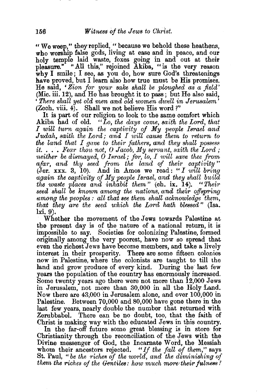" We weep," they replied, " because we behold these heathens, who worship false gods, living at ease and in peace, and our holy temple laid waste, foxes going in and out at their pleasure." "All this," rejoined Akiba, "is the very reason why I smile; I see, as you do, how sure God's threatenings have proved, but I learn also how true must be His promises. He said, ' *Zion for your sake shall be ploughed as a field'*  (Mic. iii. 12), and He has brought it to pass; but He also said, ' *There shall yet old men and old women dwell in Jerusalem'*   $(Zech. viii. 4)$ . Shall we not believe His word?"

It is part of our religion to look to the same comfort which Akiba had of old. *"Lo, the days corne, saith the Lord, that I will twrn again the captivity of My people Israel and Judah, saith the Lord; and I will cause them to return to the land that I gave to their fathers, and they shall possess*  $it. \ldots$  *Fear thou not, O Jacob, My servant, saith the Lord; neither be dismayed, 0 Israel; for, lo, I will save thee from*  afar, and thy seed from the land of their captivity" (Jer. xxx. 3, 10). And in Amos we read: *"I will bring again the captivity of My people Israel, and they shall build the waste places and inhabit them"* (ch. ix. 14). *"Their seed shall be known atnang the nations, and their offspring umong the peoples : all that see them shall acknowledge them, that they are the seed which the Lord hath blessed"* (Isa. 1xi. 9).<br>Whether the movement of the Jews towards Palestine at

the present day is of the nature of a national return, it is impossible to say. Societies for colonizing Palestine, formed originally among the very poorest, have now so spread that even the richest Jews have become members, and take a lively interest in their prosperity. There are some fifteen colonies now in Palestine, where the colonists are taught to till the land and grow produce of every kind. During the last few years the population of the country has enormously increased. Some twenty years ago there were not more than 12,000 Jews in Jerusalem, not more than 30,000 in all the Holy Land. Now there are 43,000 in Jerusalem alone, and over 100,000 iu Paleatine. Between 70,000 and 80,000 have gone there in the last few years, nearly double the number that returned with Zerubbabel. There can be no doubt, too, that the faith of Christ is making way with the educated Jews in this country. In the far-off future some great blessing is in store for Christianity through the reconciliation of the Jews with the Divine messenger of God, the Incarnate Word, the Messiah whom their ancestors rejected. *"If the fall of them,"* says St. Paul, "be the riches of the world, and the diminishing of *them the riches of the Gentiles: how much more their fulness?*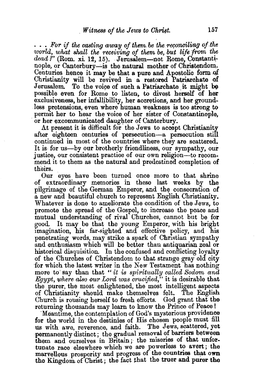... For if the casting away of them. be the *reconciling* of the world, what shall the receiving of them be, but life from the *dead ?"* (Rom. xi 12, 15). Jerusalem-not Rome, Constantinople, or Canterbury—is the natural mother of Christendom. Centuries hence it may be that a pure and Apostolic form of Christianity will be revived in a restored Patriarchate of Jerusalem. To the voice of such a Patriarchate it might be To the voice of such a Patriarchate it might be possible even for Rome to listen, to divest herself of her exclusiveness, her infallibility, her accretions, and her groundless pretensions, even where human weakness is too strong to permit her to hear the voice of her sister of Constantinople, or her excommunicated daughter of Canterbury.

At present it is difficult for the Jews to accept Christianity. after eighteen centuries of persecution-a persecution still continued in most of the countries where they are scattered. It is for us-by our brotherly friendliness, our sympathy, our justice, our consistent practice of our own religion---to recommend it to them as the natural and predestined completion of theirs.

Our eyes have been turned once more to that shrine of extraordinary memories in these last weeks by the pilgrimage of the German Emperor, and the consecration of a new and beautiful church to represent English Christianity. Whatever is done to ameliorate the condition of the Jews, to promote the spread of the Gospel, to increase the peace and mutual understanding of rival Churches, cannot but be for good. It may be that the young Emperor, with his bright 1magination, his far-sighted and effective policy, and his penetrating words, may strike a spark of Christian sympathy and enthusiasm which will be better than antiquarian zeal or historical disquisition. In the confused and conflicting loyalty of the Churches of Christendom to that strange gray old city for which the latest writer in the New Testament has nothing more to' say than that *''it is spiritually called Sodorn and Egypt, where also our Lord was crucified,*" it is desirable that the purer, the most enlightened, the most intelligent aspects of Christianity should make themselves felt. The English Church is rousing herself to fresh efforts. God grant that the returning thousands may learn to know the Prince of Peace!

'Meantime, the contemplation of God's mysterious providence for the world in the destinies of His chosen people must fill us with awe, reverence, and faith. permanently distinct; the gradual removal of barriers between them and ourselves in Britain; the miseries of that unfortunate race elsewhere which we are powerless to avert; the marvellous prosperity and progress of the countries that own the Kingdom. of Christ ; the fact that the truer and purer the